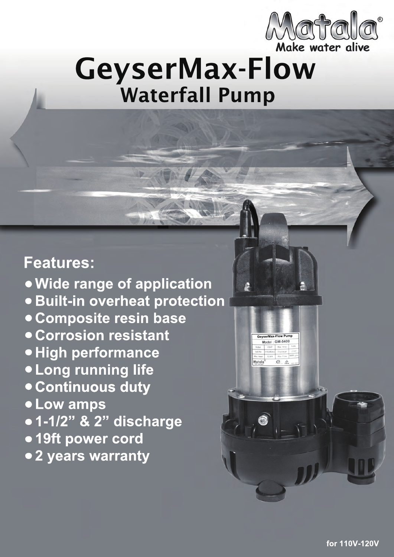

**GM-5400**

**GeyserMax-Flow Pump**

**5400**

# GeyserMax-Flow Waterfall Pump

# **Features:**

**Wide range of application Built-in overheat protection Composite resin base Corrosion resistant High performance Long running life Continuous duty Low amps 1-1/2" & 2" discharge 19ft power cord 2 years warranty**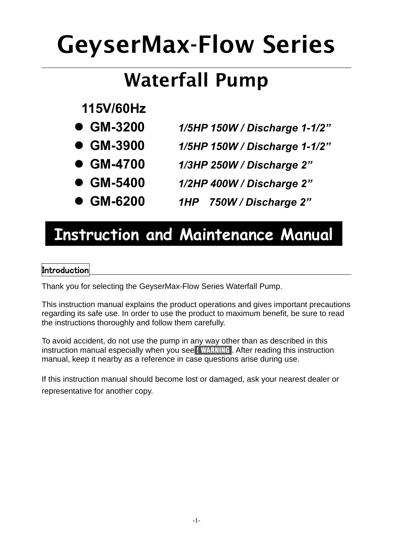# **GeyserMax-Flow Series**

# **Waterfall Pump**

# **115V/60Hz**

- **GM-3200** *1/5HP 150W / Discharge 1-1/2"*
- **GM-3900** *1/5HP 150W / Discharge 1-1/2"*
- **GM-4700** *1/3HP 250W / Discharge 2"*
	- **GM-5400** *1/2HP 400W / Discharge 2"*
- **GM-6200** *1HP 750W / Discharge 2"*

# **Instruction and Maintenance Manual**

# **Introduction**

Thank you for selecting the GeyserMax-Flow Series Waterfall Pump.

This instruction manual explains the product operations and gives important precautions regarding its safe use. In order to use the product to maximum benefit, be sure to read the instructions thoroughly and follow them carefully.

To avoid accident, do not use the pump in any way other than as described in this instruction manual especially when you see ! WARNING . After reading this instruction manual, keep it nearby as a reference in case questions arise during use.

If this instruction manual should become lost or damaged, ask your nearest dealer or representative for another copy.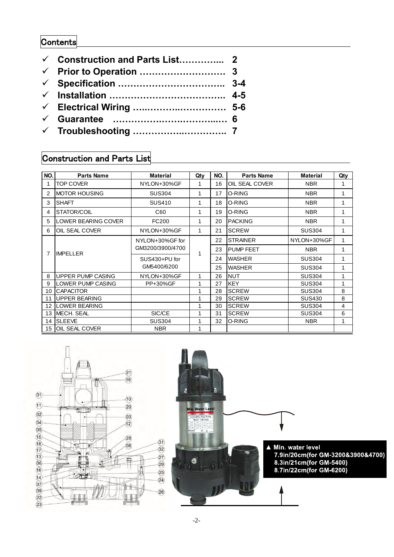# **Contents**

| <b>∠</b> Construction and Parts List 2 |  |
|----------------------------------------|--|
|                                        |  |
|                                        |  |
|                                        |  |
|                                        |  |
|                                        |  |
|                                        |  |

# Construction and Parts List

| NO. | Parts Name               | <b>Material</b>  | Qty | NO. | <b>Parts Name</b>           | <b>Material</b> | Qty |
|-----|--------------------------|------------------|-----|-----|-----------------------------|-----------------|-----|
| 1   | <b>TOP COVER</b>         | NYLON+30%GF      | 1   | 16  | <b>OIL SEAL COVER</b>       | <b>NBR</b>      | 1   |
| 2   | <b>MOTOR HOUSING</b>     | <b>SUS304</b>    | 1   | 17  | O-RING<br><b>NBR</b>        |                 | 1   |
| 3   | <b>SHAFT</b>             | <b>SUS410</b>    | 1   | 18  | <b>O-RING</b><br><b>NBR</b> |                 | 1   |
| 4   | STATOR/COIL              | C60              | 1   | 19  | O-RING<br><b>NBR</b>        |                 |     |
| 5   | LOWER BEARING COVER      | FC200            | 1   | 20  | <b>PACKING</b>              | <b>NBR</b>      |     |
| 6   | OIL SEAL COVER           | NYLON+30%GF      | 1   | 21  | <b>SCREW</b>                | <b>SUS304</b>   | 1   |
| 7   |                          | NYLON+30%GF for  | 1   | 22  | <b>STRAINER</b>             | NYLON+30%GF     | 1   |
|     | <b>IMPFIIFR</b>          | GM3200/3900/4700 |     | 23  | <b>PUMP FEET</b>            | <b>NBR</b>      | 1   |
|     |                          | SUS430+PU for    |     | 24  | <b>WASHER</b>               | <b>SUS304</b>   | 1   |
|     |                          | GM5400/6200      |     | 25  | <b>WASHER</b>               | <b>SUS304</b>   | 1   |
| 8   | <b>UPPER PUMP CASING</b> | NYLON+30%GF      | 1   | 26  | <b>NUT</b>                  | <b>SUS304</b>   | 1   |
| 9   | LOWER PUMP CASING        | PP+30%GF         | 1   | 27  | <b>KEY</b>                  | <b>SUS304</b>   | 1   |
| 10  | <b>CAPACITOR</b>         |                  | 1   | 28  | <b>SCREW</b>                | <b>SUS304</b>   | 8   |
| 11  | <b>UPPER BEARING</b>     |                  | 1   | 29  | <b>SCREW</b>                | <b>SUS430</b>   | 8   |
| 12  | LOWER BEARING            |                  | 1   | 30  | <b>SCREW</b>                | <b>SUS304</b>   | 4   |
| 13  | SIC/CE<br>MECH. SEAL     |                  |     | 31  | <b>SCREW</b>                | <b>SUS304</b>   | 6   |
| 14  | <b>SLEEVE</b>            | <b>SUS304</b>    |     |     | O-RING                      | <b>NBR</b>      | 1   |
| 15  | <b>OIL SEAL COVER</b>    | <b>NBR</b>       | 1   |     |                             |                 |     |



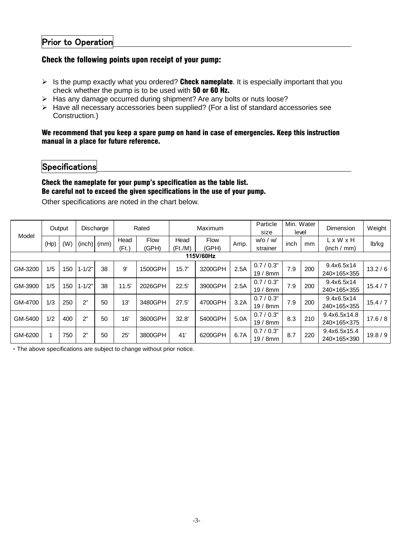### Check the following points upon receipt of your pump:

- $\triangleright$  Is the pump exactly what you ordered? Check nameplate. It is especially important that you check whether the pump is to be used with 50 or 60 Hz.
- > Has any damage occurred during shipment? Are any bolts or nuts loose?
- $\triangleright$  Have all necessary accessories been supplied? (For a list of standard accessories see Construction.)

#### We recommend that you keep a spare pump on hand in case of emergencies. Keep this instruction manual in a place for future reference.

## **Specifications**

### Check the nameplate for your pump's specification as the table list. Be careful not to exceed the given specifications in the use of your pump.

|           |        |     |            |               |               | Other specifications are noted in the chart below. |                 | Be careful not to exceed the given specifications in the use of your pump. |      |                            |                     |     |                                      |          |
|-----------|--------|-----|------------|---------------|---------------|----------------------------------------------------|-----------------|----------------------------------------------------------------------------|------|----------------------------|---------------------|-----|--------------------------------------|----------|
| Model     | Output |     | Discharge  |               | Rated         |                                                    | Maximum         |                                                                            |      | Particle<br>size           | Min. Water<br>level |     | Dimension                            | Weight   |
|           | (Hp)   | (W) |            | $(inch)$ (mm) | Head<br>(Ft.) | Flow<br>(GPH)                                      | Head<br>(Ft./M) | <b>Flow</b><br>(GPH)                                                       | Amp. | $w$ /o / $w$ /<br>strainer | inch                | mm  | $L \times W \times H$<br>(inch / mm) | lb/kg    |
| 115V/60Hz |        |     |            |               |               |                                                    |                 |                                                                            |      |                            |                     |     |                                      |          |
| GM-3200   | 1/5    | 150 | $1 - 1/2"$ | 38            | 9'            | 1500GPH                                            | 15.7'           | 3200GPH                                                                    | 2.5A | 0.7/0.3"<br>$19/8$ mm      | 7.9                 | 200 | 9.4x6.5x14<br>240×165×355            | 13.2/6   |
| GM-3900   | 1/5    | 150 | $1 - 1/2"$ | 38            | 11.5'         | 2026GPH                                            | 22.5'           | 3900GPH                                                                    | 2.5A | 0.7/0.3"<br>$19/8$ mm      | 7.9                 | 200 | 9.4x6.5x14<br>240×165×355            | 15.4 / 7 |
| GM-4700   | 1/3    | 250 | 2"         | 50            | 13'           | 3480GPH                                            | 27.5'           | 4700GPH                                                                    | 3.2A | 0.7/0.3"<br>19/8mm         | 7.9                 | 200 | 9.4x6.5x14<br>240×165×355            | 15.4/7   |
| GM-5400   | 1/2    | 400 | 2"         | 50            | 16'           | 3600GPH                                            | 32.8'           | 5400GPH                                                                    | 5.0A | 0.7 / 0.3"<br>19/8mm       | 8.3                 | 210 | 9.4x6.5x14.8<br>240×165×375          | 17.6 / 8 |
| GM-6200   |        | 750 | 2"         | 50            | 25'           | 3800GPH                                            | 41'             | 6200GPH                                                                    | 6.7A | 0.7/0.3"<br>$19/8$ mm      | 8.7                 | 220 | 9.4x6.5x15.4<br>240×165×390          | 19.8 / 9 |
|           |        |     |            |               |               |                                                    |                 |                                                                            |      |                            |                     |     |                                      |          |

‧The above specifications are subject to change without prior notice.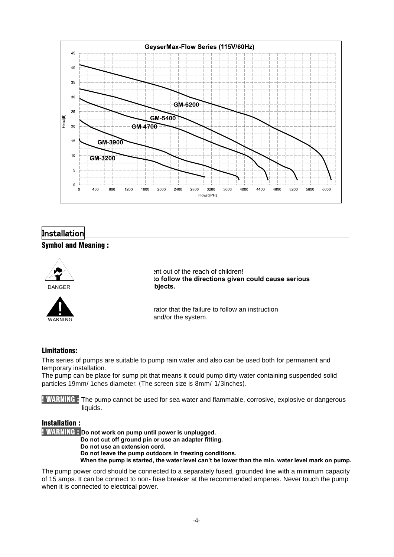

## **Installation**

#### Symbol and Meaning :





ent out of the reach of children! to follow the directions given could cause serious biects.

rator that the failure to follow an instruction and/or the system.

#### Limitations:

This series of pumps are suitable to pump rain water and also can be used both for permanent and temporary installation.

The pump can be place for sump pit that means it could pump dirty water containing suspended solid particles 19mm/ 1ches diameter. (The screen size is 8mm/ 1/3inches).

! WARNING : The pump cannot be used for sea water and flammable, corrosive, explosive or dangerous liquids.

#### Installation :

! WARNING : **Do not work on pump until power is unplugged.**

**Do not cut off ground pin or use an adapter fitting.** 

**Do not use an extension cord.** 

**Do not leave the pump outdoors in freezing conditions. When the pump is started, the water level can't be lower than the min. water level mark on pump.** 

The pump power cord should be connected to a separately fused, grounded line with a minimum capacity of 15 amps. It can be connect to non- fuse breaker at the recommended amperes. Never touch the pump when it is connected to electrical power.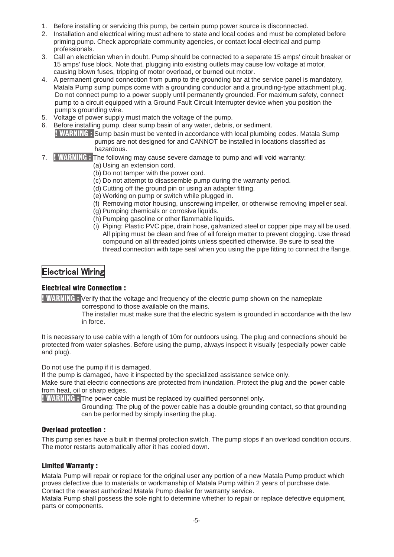- 1. Before installing or servicing this pump, be certain pump power source is disconnected.
- 2. Installation and electrical wiring must adhere to state and local codes and must be completed before priming pump. Check appropriate community agencies, or contact local electrical and pump professionals.
- 3. Call an electrician when in doubt. Pump should be connected to a separate 15 amps' circuit breaker or 15 amps' fuse block. Note that, plugging into existing outlets may cause low voltage at motor, causing blown fuses, tripping of motor overload, or burned out motor.
- 4. A permanent ground connection from pump to the grounding bar at the service panel is mandatory, Matala Pump sump pumps come with a grounding conductor and a grounding-type attachment plug. Do not connect pump to a power supply until permanently grounded. For maximum safety, connect pump to a circuit equipped with a Ground Fault Circuit Interrupter device when you position the pump's grounding wire.
- 5. Voltage of power supply must match the voltage of the pump.
- 6. Before installing pump, clear sump basin of any water, debris, or sediment. ! WARNING : Sump basin must be vented in accordance with local plumbing codes. Matala Sump pumps are not designed for and CANNOT be installed in locations classified as hazardous.
- 7. ! WARNING : The following may cause severe damage to pump and will void warranty:
	- (a) Using an extension cord.
	- (b) Do not tamper with the power cord.
	- (c) Do not attempt to disassemble pump during the warranty period.
	- (d) Cutting off the ground pin or using an adapter fitting.
	- (e) Working on pump or switch while plugged in.
	- (f) Removing motor housing, unscrewing impeller, or otherwise removing impeller seal.
	- (g) Pumping chemicals or corrosive liquids.
	- (h) Pumping gasoline or other flammable liquids.
	- (i) Piping: Plastic PVC pipe, drain hose, galvanized steel or copper pipe may all be used. All piping must be clean and free of all foreign matter to prevent clogging. Use thread compound on all threaded joints unless specified otherwise. Be sure to seal the thread connection with tape seal when you using the pipe fitting to connect the flange.

### **Electrical Wiring**

#### Electrical wire Connection :

**! WARNING :** Verify that the voltage and frequency of the electric pump shown on the nameplate correspond to those available on the mains.

 The installer must make sure that the electric system is grounded in accordance with the law in force.

It is necessary to use cable with a length of 10m for outdoors using. The plug and connections should be protected from water splashes. Before using the pump, always inspect it visually (especially power cable and plug).

Do not use the pump if it is damaged.

If the pump is damaged, have it inspected by the specialized assistance service only.

Make sure that electric connections are protected from inundation. Protect the plug and the power cable from heat, oil or sharp edges.

**! WARNING :** The power cable must be replaced by qualified personnel only.

 Grounding: The plug of the power cable has a double grounding contact, so that grounding can be performed by simply inserting the plug.

#### Overload protection :

This pump series have a built in thermal protection switch. The pump stops if an overload condition occurs. The motor restarts automatically after it has cooled down.

#### Limited Warranty :

Matala Pump will repair or replace for the original user any portion of a new Matala Pump product which proves defective due to materials or workmanship of Matala Pump within 2 years of purchase date. Contact the nearest authorized Matala Pump dealer for warranty service.

Matala Pump shall possess the sole right to determine whether to repair or replace defective equipment, parts or components.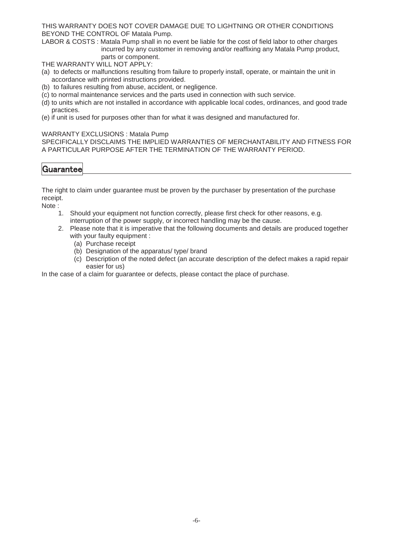THIS WARRANTY DOES NOT COVER DAMAGE DUE TO LIGHTNING OR OTHER CONDITIONS BEYOND THE CONTROL OF Matala Pump.

LABOR & COSTS : Matala Pump shall in no event be liable for the cost of field labor to other charges incurred by any customer in removing and/or reaffixing any Matala Pump product, parts or component.

THE WARRANTY WILL NOT APPLY:

- (a) to defects or malfunctions resulting from failure to properly install, operate, or maintain the unit in accordance with printed instructions provided.
- (b) to failures resulting from abuse, accident, or negligence.
- (c) to normal maintenance services and the parts used in connection with such service.
- (d) to units which are not installed in accordance with applicable local codes, ordinances, and good trade practices.
- (e) if unit is used for purposes other than for what it was designed and manufactured for.

#### WARRANTY EXCLUSIONS : Matala Pump

SPECIFICALLY DISCLAIMS THE IMPLIED WARRANTIES OF MERCHANTABILITY AND FITNESS FOR A PARTICULAR PURPOSE AFTER THE TERMINATION OF THE WARRANTY PERIOD.

## |Guarantee

The right to claim under guarantee must be proven by the purchaser by presentation of the purchase receipt.

Note :

- 1. Should your equipment not function correctly, please first check for other reasons, e.g. interruption of the power supply, or incorrect handling may be the cause.
- 2. Please note that it is imperative that the following documents and details are produced together with your faulty equipment :
	- (a) Purchase receipt
	- (b) Designation of the apparatus/ type/ brand
	- (c) Description of the noted defect (an accurate description of the defect makes a rapid repair easier for us)

In the case of a claim for quarantee or defects, please contact the place of purchase.